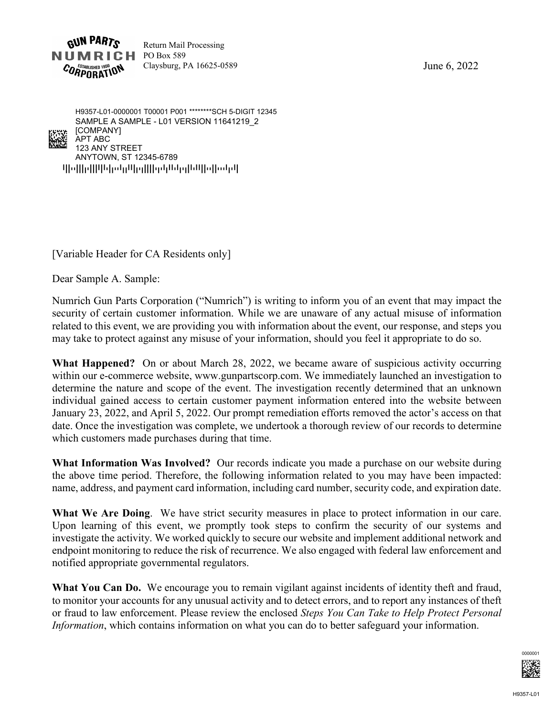

Return Mail Processing PO Box 589 Claysburg, PA 16625-0589 June 6, 2022



[Variable Header for CA Residents only]

Dear Sample A. Sample:

Numrich Gun Parts Corporation ("Numrich") is writing to inform you of an event that may impact the security of certain customer information. While we are unaware of any actual misuse of information related to this event, we are providing you with information about the event, our response, and steps you may take to protect against any misuse of your information, should you feel it appropriate to do so.

**What Happened?** On or about March 28, 2022, we became aware of suspicious activity occurring within our e-commerce website, www.gunpartscorp.com. We immediately launched an investigation to determine the nature and scope of the event. The investigation recently determined that an unknown individual gained access to certain customer payment information entered into the website between January 23, 2022, and April 5, 2022. Our prompt remediation efforts removed the actor's access on that date. Once the investigation was complete, we undertook a thorough review of our records to determine which customers made purchases during that time.

**What Information Was Involved?** Our records indicate you made a purchase on our website during the above time period. Therefore, the following information related to you may have been impacted: name, address, and payment card information, including card number, security code, and expiration date.

**What We Are Doing**. We have strict security measures in place to protect information in our care. Upon learning of this event, we promptly took steps to confirm the security of our systems and investigate the activity. We worked quickly to secure our website and implement additional network and endpoint monitoring to reduce the risk of recurrence. We also engaged with federal law enforcement and notified appropriate governmental regulators.

**What You Can Do.** We encourage you to remain vigilant against incidents of identity theft and fraud, to monitor your accounts for any unusual activity and to detect errors, and to report any instances of theft or fraud to law enforcement. Please review the enclosed *Steps You Can Take to Help Protect Personal Information*, which contains information on what you can do to better safeguard your information.

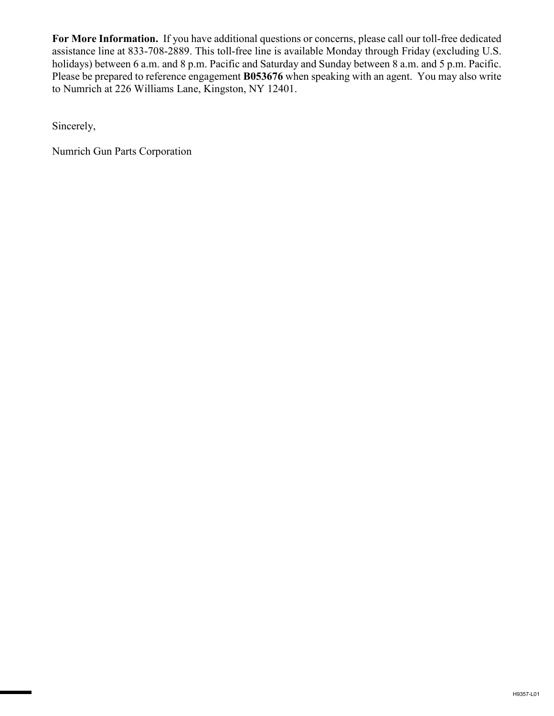**For More Information.** If you have additional questions or concerns, please call our toll-free dedicated assistance line at 833-708-2889. This toll-free line is available Monday through Friday (excluding U.S. holidays) between 6 a.m. and 8 p.m. Pacific and Saturday and Sunday between 8 a.m. and 5 p.m. Pacific. Please be prepared to reference engagement **B053676** when speaking with an agent. You may also write to Numrich at 226 Williams Lane, Kingston, NY 12401.

Sincerely,

Numrich Gun Parts Corporation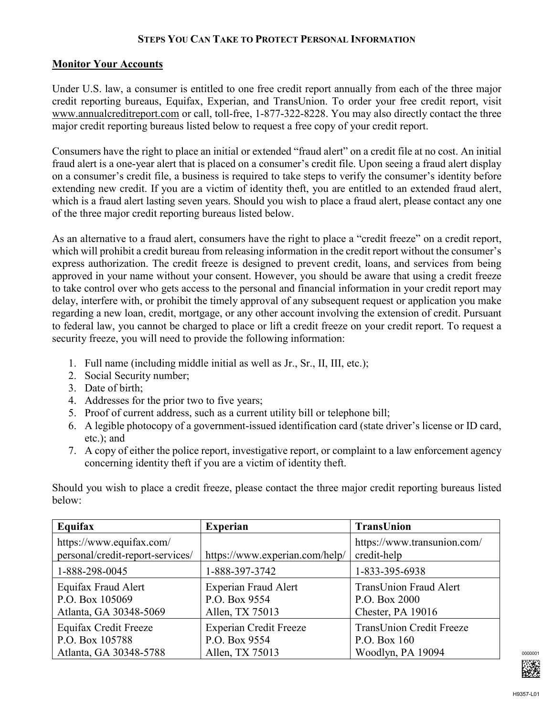## **STEPS YOU CAN TAKE TO PROTECT PERSONAL INFORMATION**

## **Monitor Your Accounts**

Under U.S. law, a consumer is entitled to one free credit report annually from each of the three major credit reporting bureaus, Equifax, Experian, and TransUnion. To order your free credit report, visit www.annualcreditreport.com or call, toll-free, 1-877-322-8228. You may also directly contact the three major credit reporting bureaus listed below to request a free copy of your credit report.

Consumers have the right to place an initial or extended "fraud alert" on a credit file at no cost. An initial fraud alert is a one-year alert that is placed on a consumer's credit file. Upon seeing a fraud alert display on a consumer's credit file, a business is required to take steps to verify the consumer's identity before extending new credit. If you are a victim of identity theft, you are entitled to an extended fraud alert, which is a fraud alert lasting seven years. Should you wish to place a fraud alert, please contact any one of the three major credit reporting bureaus listed below.

As an alternative to a fraud alert, consumers have the right to place a "credit freeze" on a credit report, which will prohibit a credit bureau from releasing information in the credit report without the consumer's express authorization. The credit freeze is designed to prevent credit, loans, and services from being approved in your name without your consent. However, you should be aware that using a credit freeze to take control over who gets access to the personal and financial information in your credit report may delay, interfere with, or prohibit the timely approval of any subsequent request or application you make regarding a new loan, credit, mortgage, or any other account involving the extension of credit. Pursuant to federal law, you cannot be charged to place or lift a credit freeze on your credit report. To request a security freeze, you will need to provide the following information:

- 1. Full name (including middle initial as well as Jr., Sr., II, III, etc.);
- 2. Social Security number;
- 3. Date of birth;
- 4. Addresses for the prior two to five years;
- 5. Proof of current address, such as a current utility bill or telephone bill;
- 6. A legible photocopy of a government-issued identification card (state driver's license or ID card, etc.); and
- 7. A copy of either the police report, investigative report, or complaint to a law enforcement agency concerning identity theft if you are a victim of identity theft.

Should you wish to place a credit freeze, please contact the three major credit reporting bureaus listed below:

| Equifax                                                            | <b>Experian</b>                                                   | TransUnion                                                           |  |
|--------------------------------------------------------------------|-------------------------------------------------------------------|----------------------------------------------------------------------|--|
| https://www.equifax.com/<br>personal/credit-report-services/       | https://www.experian.com/help/                                    | https://www.transunion.com/<br>credit-help                           |  |
| 1-888-298-0045                                                     | 1-888-397-3742                                                    | 1-833-395-6938                                                       |  |
| Equifax Fraud Alert<br>P.O. Box 105069<br>Atlanta, GA 30348-5069   | <b>Experian Fraud Alert</b><br>P.O. Box 9554<br>Allen, TX 75013   | <b>TransUnion Fraud Alert</b><br>P.O. Box 2000<br>Chester, PA 19016  |  |
| Equifax Credit Freeze<br>P.O. Box 105788<br>Atlanta, GA 30348-5788 | <b>Experian Credit Freeze</b><br>P.O. Box 9554<br>Allen, TX 75013 | <b>TransUnion Credit Freeze</b><br>P.O. Box 160<br>Woodlyn, PA 19094 |  |